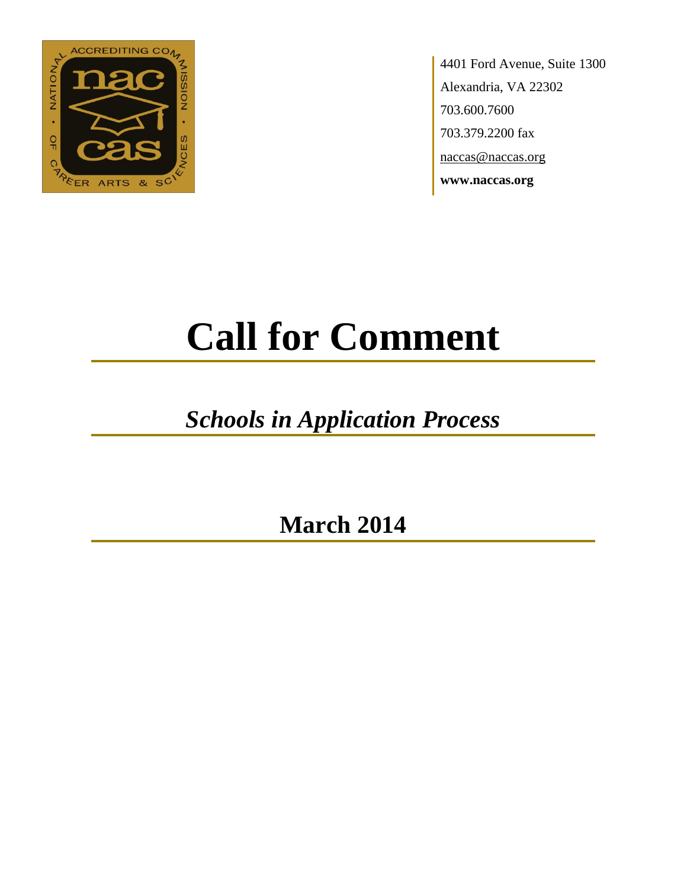

4401 Ford Avenue, Suite 1300 Alexandria, VA 22302 703.600.7600 703.379.2200 fax naccas@naccas.org **www.naccas.org**

# **Call for Comment**

## *Schools in Application Process*

**March 2014**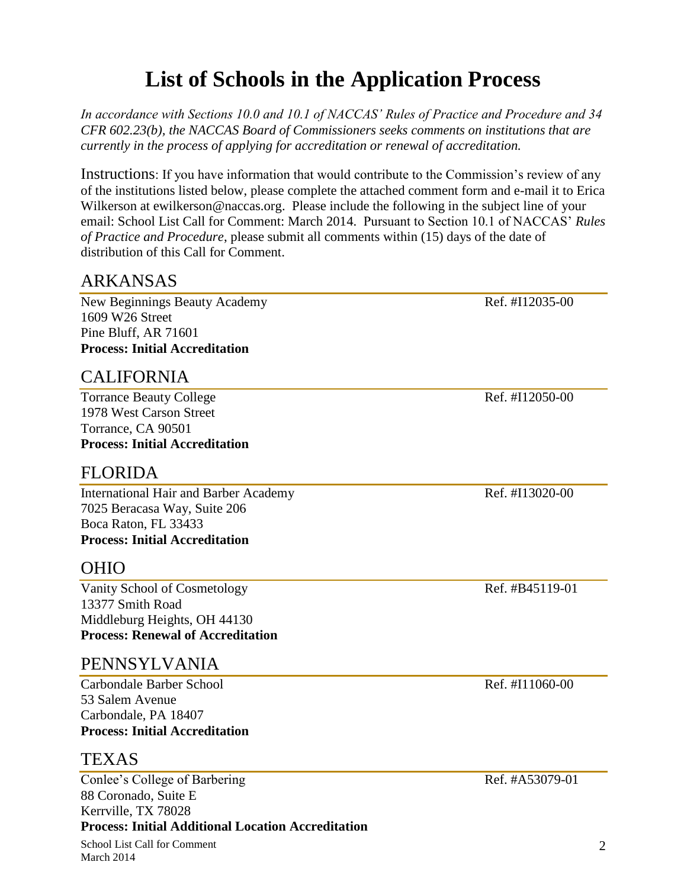### **List of Schools in the Application Process**

*In accordance with Sections 10.0 and 10.1 of NACCAS' Rules of Practice and Procedure and 34 CFR 602.23(b), the NACCAS Board of Commissioners seeks comments on institutions that are currently in the process of applying for accreditation or renewal of accreditation.*

Instructions: If you have information that would contribute to the Commission's review of any of the institutions listed below, please complete the attached comment form and e-mail it to Erica Wilkerson at ewilkerson@naccas.org. Please include the following in the subject line of your email: School List Call for Comment: March 2014. Pursuant to Section 10.1 of NACCAS' *Rules of Practice and Procedure*, please submit all comments within (15) days of the date of distribution of this Call for Comment.

#### ARKANSAS

New Beginnings Beauty Academy **Ref.** #I12035-00 1609 W26 Street Pine Bluff, AR 71601 **Process: Initial Accreditation**

#### CALIFORNIA

Torrance Beauty College Ref. #I12050-00 1978 West Carson Street Torrance, CA 90501 **Process: Initial Accreditation**

#### FLORIDA

International Hair and Barber Academy Ref. #I13020-00 7025 Beracasa Way, Suite 206 Boca Raton, FL 33433 **Process: Initial Accreditation**

#### OHIO

Vanity School of Cosmetology Ref. #B45119-01 13377 Smith Road Middleburg Heights, OH 44130 **Process: Renewal of Accreditation**

#### PENNSYLVANIA

Carbondale Barber School **Ref. #I11060-00** 53 Salem Avenue Carbondale, PA 18407 **Process: Initial Accreditation**

#### TEXAS

Conlee's College of Barbering Ref. #A53079-01 88 Coronado, Suite E Kerrville, TX 78028 **Process: Initial Additional Location Accreditation**

School List Call for Comment March 2014